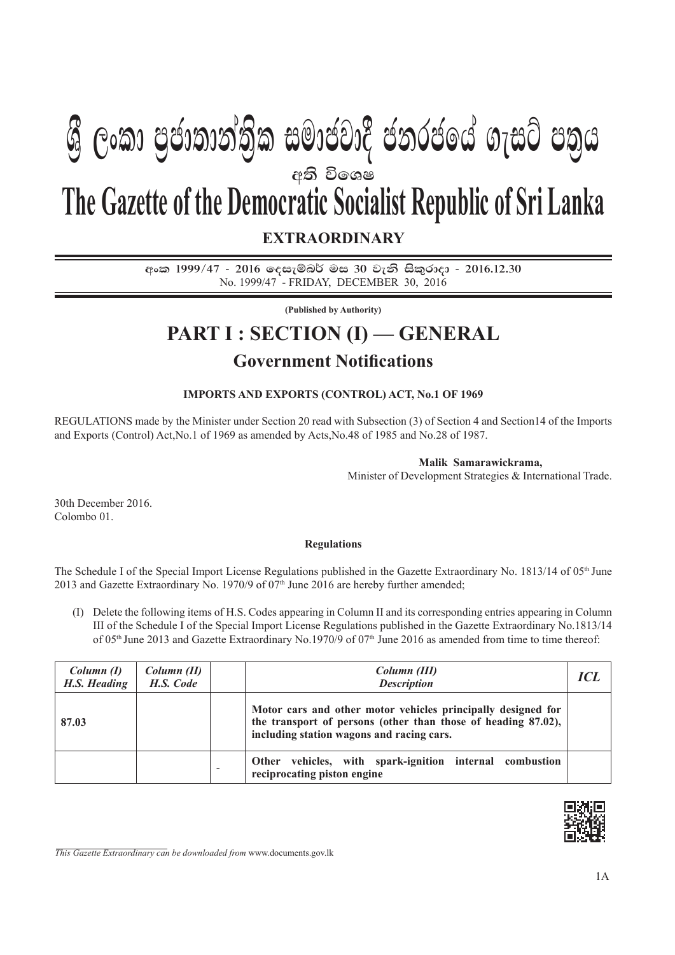# අති වි**ං**ශෂ **EXTRAORDINARY The Gazette of the Democratic Socialist Republic of Sri Lanka Gී ලංකා පුජාතාන්තික සමාජවාදී ජනරජයේ ගැසට් පතුය**

අංක 1999/47 - 2016 ලෙසැම්බර් මස 30 වැනි සිකුරාදා - 2016.12.30 No. 1999/47 - friday, december 30, 2016

**(Published by Authority)**

## **PART I : SECTION (I) — GENERAL**

### **Government Notifications**

#### **IMPORTS AND EXPORTS (CONTROL) ACT, No.1 OF 1969**

REGULATIONS made by the Minister under Section 20 read with Subsection (3) of Section 4 and Section14 of the Imports and Exports (Control) Act,No.1 of 1969 as amended by Acts,No.48 of 1985 and No.28 of 1987.

#### **Malik Samarawickrama,**

Minister of Development Strategies & International Trade.

30th December 2016. Colombo 01.

#### **Regulations**

The Schedule I of the Special Import License Regulations published in the Gazette Extraordinary No. 1813/14 of 05<sup>th</sup> June 2013 and Gazette Extraordinary No. 1970/9 of  $07<sup>th</sup>$  June 2016 are hereby further amended;

(I) Delete the following items of H.S. Codes appearing in Column II and its corresponding entries appearing in Column III of the Schedule I of the Special Import License Regulations published in the Gazette Extraordinary No.1813/14 of 05<sup>th</sup> June 2013 and Gazette Extraordinary No.1970/9 of 07<sup>th</sup> June 2016 as amended from time to time thereof:

| Column (I)<br>H.S. Heading | Column (II)<br>H.S. Code | Column (III)<br><b>Description</b>                                                                                                                                         |  |  |  |
|----------------------------|--------------------------|----------------------------------------------------------------------------------------------------------------------------------------------------------------------------|--|--|--|
| 87.03                      |                          | Motor cars and other motor vehicles principally designed for<br>the transport of persons (other than those of heading 87.02),<br>including station wagons and racing cars. |  |  |  |
|                            |                          | Other vehicles, with spark-ignition internal combustion<br>reciprocating piston engine                                                                                     |  |  |  |



*This Gazette Extraordinary can be downloaded from* www.documents.gov.lk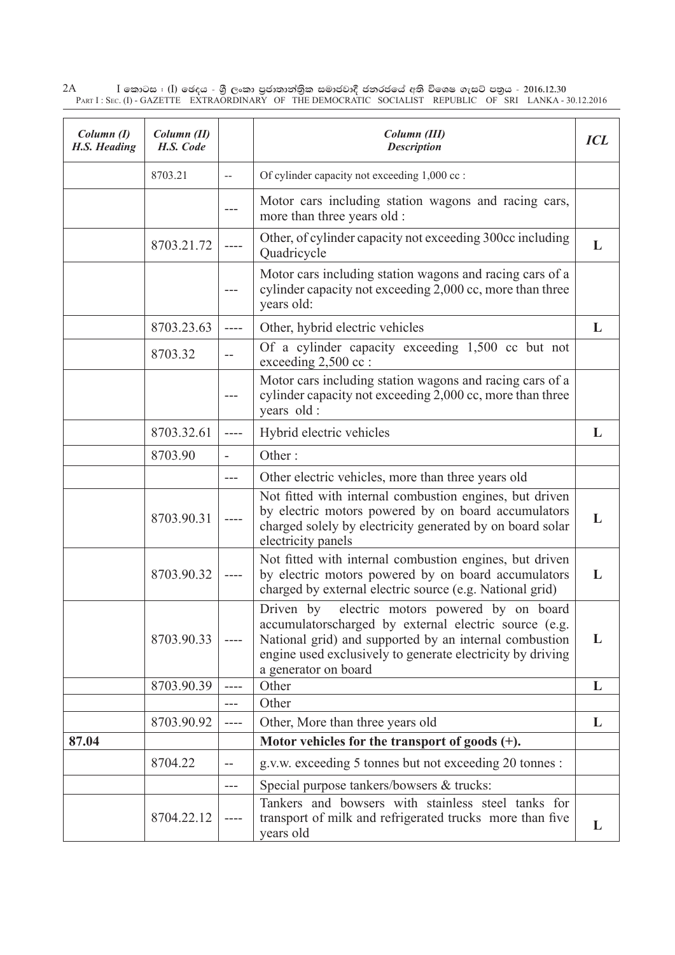2A I **fldgi ( ^**I**& fPoh - YS% ,xld m%cd;dka;s%l iudcjd§ ckrcfha w;s úfYI .eiÜ m;%h - 2016'12'30** Part I : Sec. (I) - GAZETTE EXTRAORDINARY OF THE DEMOCRATIC SOCIALIST REPUBLIC OF SRI LANKA - 30.12.2016

| Column (I)<br>H.S. Heading | Column (II)<br>H.S. Code |                          | Column (III)<br><b>Description</b>                                                                                                                                                                                                                     | <b>ICL</b> |
|----------------------------|--------------------------|--------------------------|--------------------------------------------------------------------------------------------------------------------------------------------------------------------------------------------------------------------------------------------------------|------------|
|                            | 8703.21                  | $\overline{a}$           | Of cylinder capacity not exceeding 1,000 cc :                                                                                                                                                                                                          |            |
|                            |                          |                          | Motor cars including station wagons and racing cars,<br>more than three years old :                                                                                                                                                                    |            |
|                            | 8703.21.72               |                          | Other, of cylinder capacity not exceeding 300cc including<br>Quadricycle                                                                                                                                                                               | L          |
|                            |                          |                          | Motor cars including station wagons and racing cars of a<br>cylinder capacity not exceeding 2,000 cc, more than three<br>years old:                                                                                                                    |            |
|                            | 8703.23.63               |                          | Other, hybrid electric vehicles                                                                                                                                                                                                                        | L          |
|                            | 8703.32                  | $\sim$ $-$               | Of a cylinder capacity exceeding 1,500 cc but not<br>exceeding 2,500 cc :                                                                                                                                                                              |            |
|                            |                          |                          | Motor cars including station wagons and racing cars of a<br>cylinder capacity not exceeding 2,000 cc, more than three<br>years old :                                                                                                                   |            |
|                            | 8703.32.61               | ----                     | Hybrid electric vehicles                                                                                                                                                                                                                               | L          |
|                            | 8703.90                  | $\overline{\phantom{a}}$ | Other:                                                                                                                                                                                                                                                 |            |
|                            |                          |                          | Other electric vehicles, more than three years old                                                                                                                                                                                                     |            |
|                            | 8703.90.31               |                          | Not fitted with internal combustion engines, but driven<br>by electric motors powered by on board accumulators<br>charged solely by electricity generated by on board solar<br>electricity panels                                                      | L          |
|                            | 8703.90.32               |                          | Not fitted with internal combustion engines, but driven<br>by electric motors powered by on board accumulators<br>charged by external electric source (e.g. National grid)                                                                             | L          |
|                            | 8703.90.33               |                          | Driven by electric motors powered by on board<br>accumulatorscharged by external electric source (e.g.<br>National grid) and supported by an internal combustion<br>engine used exclusively to generate electricity by driving<br>a generator on board | L          |
|                            | 8703.90.39               | $---$                    | Other                                                                                                                                                                                                                                                  | L          |
|                            |                          |                          | Other                                                                                                                                                                                                                                                  |            |
|                            | 8703.90.92               | ----                     | Other, More than three years old                                                                                                                                                                                                                       | L          |
| 87.04                      |                          |                          | Motor vehicles for the transport of goods $(+)$ .                                                                                                                                                                                                      |            |
|                            | 8704.22                  | $\sim$ $-$               | g.v.w. exceeding 5 tonnes but not exceeding 20 tonnes :                                                                                                                                                                                                |            |
|                            |                          | ---                      | Special purpose tankers/bowsers & trucks:                                                                                                                                                                                                              |            |
|                            | 8704.22.12               |                          | Tankers and bowsers with stainless steel tanks for<br>transport of milk and refrigerated trucks more than five<br>years old                                                                                                                            | L          |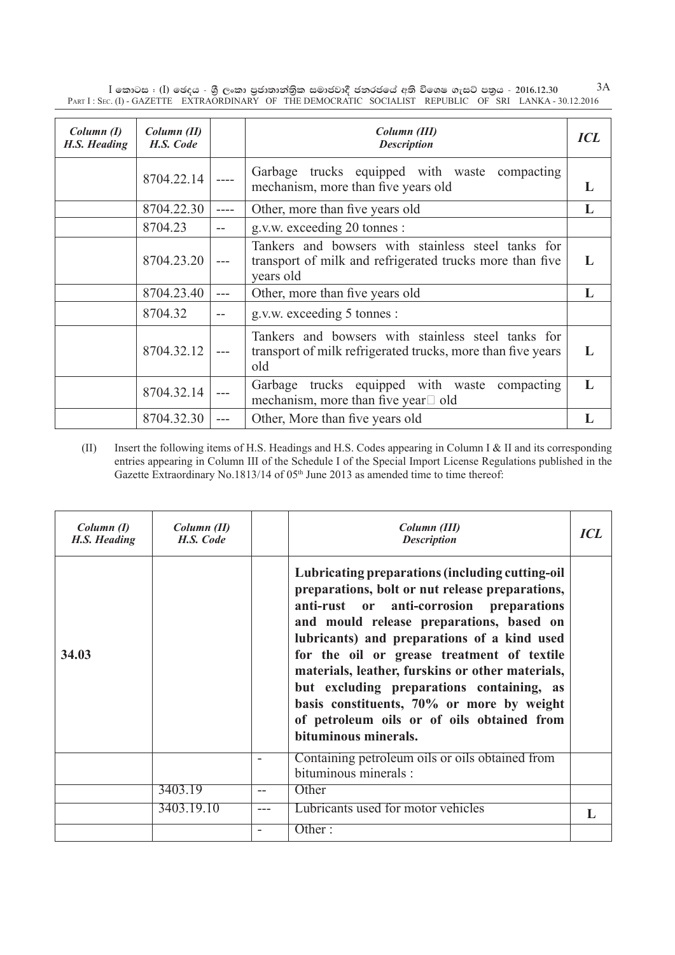${\rm I}$  කොටස : (I) ඡෙදය - ශුී ලංකා පුජාතාන්තිුක සමාජවාදී ජනරජයේ අති විශෙෂ ගැසට් පතුය - 2016.12.30  $\hskip 1.5mm 3{\rm A}$ Part I : Sec. (I) - GAZETTE EXTRAORDINARY OF THE DEMOCRATIC SOCIALIST REPUBLIC OF SRI LANKA - 30.12.2016

| Column (I)<br><b>H.S. Heading</b> | Column (II)<br>H.S. Code |     | Column (III)<br><b>Description</b>                                                                                          | <b>ICL</b>   |
|-----------------------------------|--------------------------|-----|-----------------------------------------------------------------------------------------------------------------------------|--------------|
|                                   | 8704.22.14               |     | Garbage trucks equipped with waste compacting<br>mechanism, more than five years old                                        | L            |
|                                   | 8704.22.30               |     | Other, more than five years old                                                                                             | L            |
|                                   | 8704.23                  | --  | g.v.w. exceeding 20 tonnes :                                                                                                |              |
|                                   | 8704.23.20               |     | Tankers and bowsers with stainless steel tanks for<br>transport of milk and refrigerated trucks more than five<br>years old | L            |
|                                   | 8704.23.40               | --- | Other, more than five years old                                                                                             | L            |
|                                   | 8704.32                  |     | g.v.w. exceeding 5 tonnes :                                                                                                 |              |
|                                   | 8704.32.12               |     | Tankers and bowsers with stainless steel tanks for<br>transport of milk refrigerated trucks, more than five years<br>old    | L            |
|                                   | 8704.32.14               |     | Garbage trucks equipped with waste compacting<br>mechanism, more than five year $\Box$ old                                  | $\mathbf{L}$ |
|                                   | 8704.32.30               | --- | Other, More than five years old                                                                                             |              |

(II) Insert the following items of H.S. Headings and H.S. Codes appearing in Column I & II and its corresponding entries appearing in Column III of the Schedule I of the Special Import License Regulations published in the Gazette Extraordinary No.1813/14 of 05<sup>th</sup> June 2013 as amended time to time thereof:

| Column (I)<br>H.S. Heading | Column (II)<br>H.S. Code |                          | Column (III)<br><b>Description</b>                                                                                                                                                                                                                                                                                                                                                                                                                                                                          | <b>ICL</b> |
|----------------------------|--------------------------|--------------------------|-------------------------------------------------------------------------------------------------------------------------------------------------------------------------------------------------------------------------------------------------------------------------------------------------------------------------------------------------------------------------------------------------------------------------------------------------------------------------------------------------------------|------------|
| 34.03                      |                          |                          | Lubricating preparations (including cutting-oil<br>preparations, bolt or nut release preparations,<br>anti-rust or anti-corrosion preparations<br>and mould release preparations, based on<br>lubricants) and preparations of a kind used<br>for the oil or grease treatment of textile<br>materials, leather, furskins or other materials,<br>but excluding preparations containing, as<br>basis constituents, 70% or more by weight<br>of petroleum oils or of oils obtained from<br>bituminous minerals. |            |
|                            |                          | $\overline{\phantom{a}}$ | Containing petroleum oils or oils obtained from<br>bituminous minerals :                                                                                                                                                                                                                                                                                                                                                                                                                                    |            |
|                            | 3403.19                  |                          | Other                                                                                                                                                                                                                                                                                                                                                                                                                                                                                                       |            |
|                            | 3403.19.10               | ---                      | Lubricants used for motor vehicles                                                                                                                                                                                                                                                                                                                                                                                                                                                                          |            |
|                            |                          | $\overline{\phantom{0}}$ | Other:                                                                                                                                                                                                                                                                                                                                                                                                                                                                                                      |            |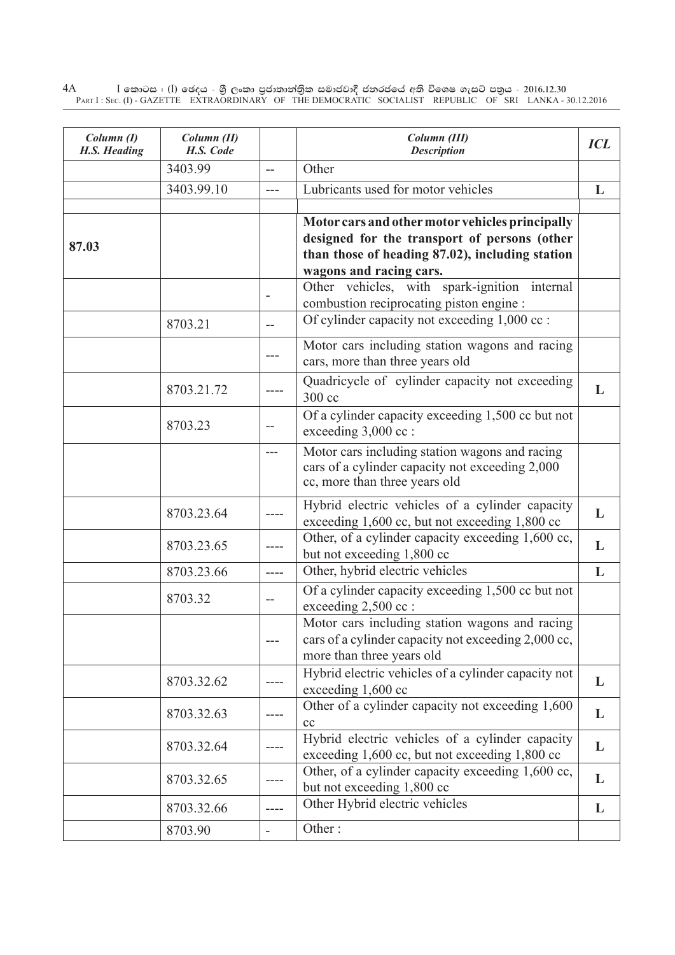$4\textrm{A}$   $\qquad$   $\qquad$   $\qquad$   $\qquad$   $\qquad$   $\qquad$   $\qquad$   $\qquad$   $\qquad$   $\qquad$   $\qquad$   $\qquad$   $\qquad$   $\qquad$   $\qquad$   $\qquad$   $\qquad$   $\qquad$   $\qquad$   $\qquad$   $\qquad$   $\qquad$   $\qquad$   $\qquad$   $\qquad$   $\qquad$   $\qquad$   $\qquad$   $\qquad$   $\qquad$   $\qquad$   $\qquad$   $\qquad$   $\qquad$   $\qquad$  Part I : Sec. (I) - GAZETTE EXTRAORDINARY OF THE DEMOCRATIC SOCIALIST REPUBLIC OF SRI LANKA - 30.12.2016

| Column(I)<br>H.S. Heading | Column (II)<br>H.S. Code |                          | Column (III)<br><b>Description</b>                                                                                                                                            | <b>ICL</b> |
|---------------------------|--------------------------|--------------------------|-------------------------------------------------------------------------------------------------------------------------------------------------------------------------------|------------|
|                           | 3403.99                  | $\overline{\phantom{a}}$ | Other                                                                                                                                                                         |            |
|                           | 3403.99.10               | $---$                    | Lubricants used for motor vehicles                                                                                                                                            | L          |
| 87.03                     |                          |                          | Motor cars and other motor vehicles principally<br>designed for the transport of persons (other<br>than those of heading 87.02), including station<br>wagons and racing cars. |            |
|                           |                          |                          | Other vehicles, with spark-ignition internal<br>combustion reciprocating piston engine :                                                                                      |            |
|                           | 8703.21                  | $-$                      | Of cylinder capacity not exceeding 1,000 cc :                                                                                                                                 |            |
|                           |                          |                          | Motor cars including station wagons and racing<br>cars, more than three years old                                                                                             |            |
|                           | 8703.21.72               |                          | Quadricycle of cylinder capacity not exceeding<br>300 cc                                                                                                                      | L          |
|                           | 8703.23                  |                          | Of a cylinder capacity exceeding 1,500 cc but not<br>exceeding 3,000 cc :                                                                                                     |            |
|                           |                          | $---$                    | Motor cars including station wagons and racing<br>cars of a cylinder capacity not exceeding 2,000<br>cc, more than three years old                                            |            |
|                           | 8703.23.64               |                          | Hybrid electric vehicles of a cylinder capacity<br>exceeding 1,600 cc, but not exceeding 1,800 cc                                                                             | L          |
|                           | 8703.23.65               |                          | Other, of a cylinder capacity exceeding 1,600 cc,<br>but not exceeding 1,800 cc                                                                                               | L          |
|                           | 8703.23.66               | $\frac{1}{2}$            | Other, hybrid electric vehicles                                                                                                                                               | L          |
|                           | 8703.32                  | $\sim$ $\sim$            | Of a cylinder capacity exceeding 1,500 cc but not<br>exceeding 2,500 cc :                                                                                                     |            |
|                           |                          | $- - -$                  | Motor cars including station wagons and racing<br>cars of a cylinder capacity not exceeding 2,000 cc,<br>more than three years old                                            |            |
|                           | 8703.32.62               |                          | Hybrid electric vehicles of a cylinder capacity not<br>exceeding 1,600 cc                                                                                                     | L          |
|                           | 8703.32.63               |                          | Other of a cylinder capacity not exceeding 1,600<br>cc                                                                                                                        | L          |
|                           | 8703.32.64               |                          | Hybrid electric vehicles of a cylinder capacity<br>exceeding 1,600 cc, but not exceeding 1,800 cc                                                                             | L          |
|                           | 8703.32.65               |                          | Other, of a cylinder capacity exceeding 1,600 cc,<br>but not exceeding 1,800 cc                                                                                               | L          |
|                           | 8703.32.66               |                          | Other Hybrid electric vehicles                                                                                                                                                | L          |
|                           | 8703.90                  | $\overline{\phantom{a}}$ | Other:                                                                                                                                                                        |            |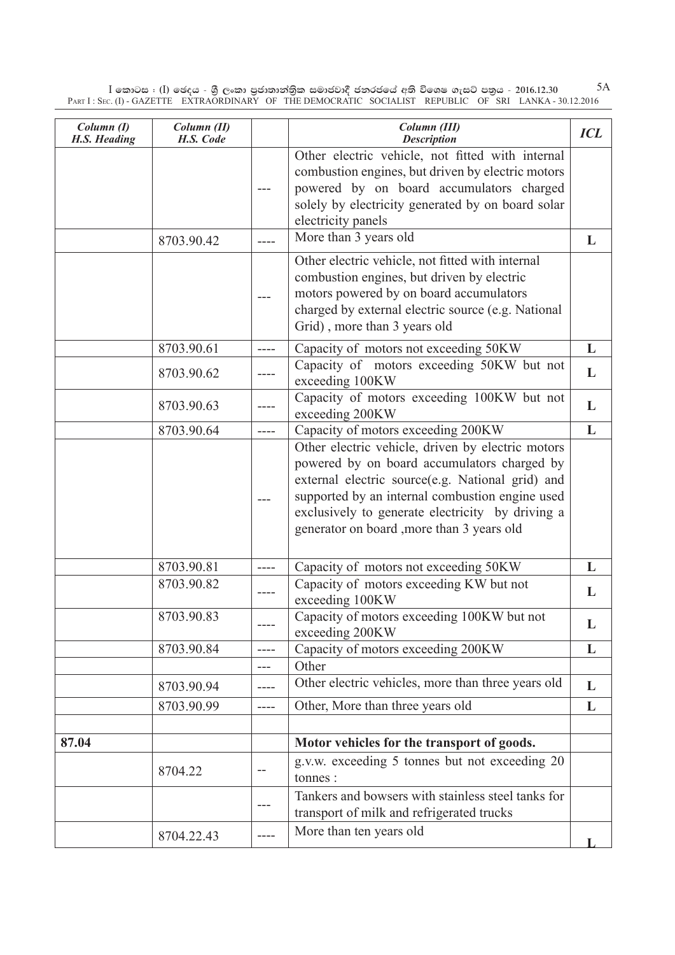${\rm I}$  කොටස : (I) ඡෙදය - ශුී ලංකා පුජාතාන්තිුක සමාජවාදී ජනරජයේ අති විශෙෂ ගැසට් පතුය - 2016.12.30  ${\rm SI}$ Part I : Sec. (I) - GAZETTE EXTRAORDINARY OF THE DEMOCRATIC SOCIALIST REPUBLIC OF SRI LANKA - 30.12.2016

| Column (I)<br>H.S. Heading | Column (II)<br>H.S. Code |           | Column (III)<br><b>Description</b>                                                                                                                                                                                                                                                                        | <b>ICL</b> |
|----------------------------|--------------------------|-----------|-----------------------------------------------------------------------------------------------------------------------------------------------------------------------------------------------------------------------------------------------------------------------------------------------------------|------------|
|                            |                          |           | Other electric vehicle, not fitted with internal<br>combustion engines, but driven by electric motors<br>powered by on board accumulators charged<br>solely by electricity generated by on board solar<br>electricity panels                                                                              |            |
|                            | 8703.90.42               |           | More than 3 years old                                                                                                                                                                                                                                                                                     | L          |
|                            |                          | ---       | Other electric vehicle, not fitted with internal<br>combustion engines, but driven by electric<br>motors powered by on board accumulators<br>charged by external electric source (e.g. National<br>Grid), more than 3 years old                                                                           |            |
|                            | 8703.90.61               | ----      | Capacity of motors not exceeding 50KW                                                                                                                                                                                                                                                                     | L          |
|                            | 8703.90.62               |           | Capacity of motors exceeding 50KW but not<br>exceeding 100KW                                                                                                                                                                                                                                              | L          |
|                            | 8703.90.63               |           | Capacity of motors exceeding 100KW but not<br>exceeding 200KW                                                                                                                                                                                                                                             | L          |
|                            | 8703.90.64               | ----      | Capacity of motors exceeding 200KW                                                                                                                                                                                                                                                                        | L          |
|                            |                          |           | Other electric vehicle, driven by electric motors<br>powered by on board accumulators charged by<br>external electric source(e.g. National grid) and<br>supported by an internal combustion engine used<br>exclusively to generate electricity by driving a<br>generator on board , more than 3 years old |            |
|                            | 8703.90.81               | ----      | Capacity of motors not exceeding 50KW                                                                                                                                                                                                                                                                     | L          |
|                            | 8703.90.82               | ----      | Capacity of motors exceeding KW but not<br>exceeding 100KW                                                                                                                                                                                                                                                | L          |
|                            | 8703.90.83               | $---$     | Capacity of motors exceeding 100KW but not<br>exceeding 200KW                                                                                                                                                                                                                                             | L          |
|                            | 8703.90.84               | $---$     | Capacity of motors exceeding 200KW                                                                                                                                                                                                                                                                        | L          |
|                            |                          | $---$     | Other                                                                                                                                                                                                                                                                                                     |            |
|                            | 8703.90.94               |           | Other electric vehicles, more than three years old                                                                                                                                                                                                                                                        | L          |
|                            | 8703.90.99               | $- - - -$ | Other, More than three years old                                                                                                                                                                                                                                                                          | L          |
| 87.04                      |                          |           | Motor vehicles for the transport of goods.                                                                                                                                                                                                                                                                |            |
|                            | 8704.22                  | $- -$     | g.v.w. exceeding 5 tonnes but not exceeding 20<br>tonnes:                                                                                                                                                                                                                                                 |            |
|                            |                          | ---       | Tankers and bowsers with stainless steel tanks for<br>transport of milk and refrigerated trucks                                                                                                                                                                                                           |            |
|                            | 8704.22.43               | ----      | More than ten years old                                                                                                                                                                                                                                                                                   |            |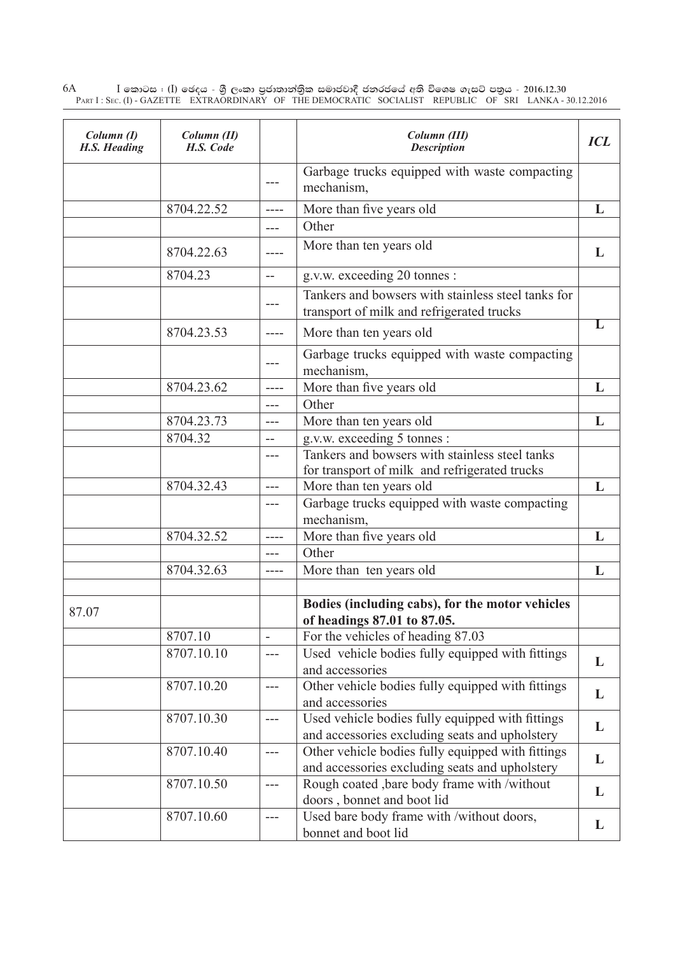6A I **fldgi ( ^**I**& fPoh - YS% ,xld m%cd;dka;s%l iudcjd§ ckrcfha w;s úfYI .eiÜ m;%h - 2016'12'30** Part I : Sec. (I) - GAZETTE EXTRAORDINARY OF THE DEMOCRATIC SOCIALIST REPUBLIC OF SRI LANKA - 30.12.2016

| Column(I)<br>H.S. Heading | Column (II)<br>H.S. Code |               | Column (III)<br><b>Description</b>                                                                  | <b>ICL</b> |
|---------------------------|--------------------------|---------------|-----------------------------------------------------------------------------------------------------|------------|
|                           |                          | $---$         | Garbage trucks equipped with waste compacting<br>mechanism,                                         |            |
|                           | 8704.22.52               | ----          | More than five years old                                                                            | L          |
|                           |                          | $---$         | Other                                                                                               |            |
|                           | 8704.22.63               |               | More than ten years old                                                                             | L          |
|                           | 8704.23                  | $\frac{1}{2}$ | g.v.w. exceeding 20 tonnes :                                                                        |            |
|                           |                          |               | Tankers and bowsers with stainless steel tanks for<br>transport of milk and refrigerated trucks     |            |
|                           | 8704.23.53               | $- - - -$     | More than ten years old                                                                             | L          |
|                           |                          | $---$         | Garbage trucks equipped with waste compacting<br>mechanism,                                         |            |
|                           | 8704.23.62               | $---$         | More than five years old                                                                            | L          |
|                           |                          | $---$         | Other                                                                                               |            |
|                           | 8704.23.73               | $---$         | More than ten years old                                                                             | L          |
|                           | 8704.32                  | $-$           | g.v.w. exceeding 5 tonnes :                                                                         |            |
|                           |                          | $---$         | Tankers and bowsers with stainless steel tanks<br>for transport of milk and refrigerated trucks     |            |
|                           | 8704.32.43               | $---$         | More than ten years old                                                                             | L          |
|                           |                          | $---$         | Garbage trucks equipped with waste compacting<br>mechanism,                                         |            |
|                           | 8704.32.52               | $---$         | More than five years old                                                                            | L          |
|                           |                          | $---$         | Other                                                                                               |            |
|                           | 8704.32.63               | $---$         | More than ten years old                                                                             | L          |
| 87.07                     |                          |               | Bodies (including cabs), for the motor vehicles<br>of headings 87.01 to 87.05                       |            |
|                           | 8707.10                  |               | For the vehicles of heading 87.03                                                                   |            |
|                           | 8707.10.10               | $\frac{1}{2}$ | Used vehicle bodies fully equipped with fittings<br>and accessories                                 | L          |
|                           | 8707.10.20               | $---$         | Other vehicle bodies fully equipped with fittings<br>and accessories                                | L          |
|                           | 8707.10.30               | $---$         | Used vehicle bodies fully equipped with fittings<br>and accessories excluding seats and upholstery  | L          |
|                           | 8707.10.40               | $---$         | Other vehicle bodies fully equipped with fittings<br>and accessories excluding seats and upholstery | L          |
|                           | 8707.10.50               | $\frac{1}{2}$ | Rough coated , bare body frame with /without<br>doors, bonnet and boot lid                          | L          |
|                           | 8707.10.60               | $---$         | Used bare body frame with /without doors,<br>bonnet and boot lid                                    | L          |